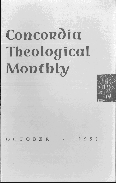# Concordia **Theological Monthly**



OCTOBER • 1958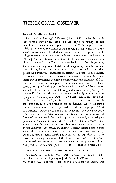# FASTING AMONG CHURCHMEN

The *Anglican Theological Review* (April 1958), under this heading, offers a very helpful article on the subject of fasting. It first describes the four different types of fasting in Christian practice: the spiritual, the moral, the ecclesiastical, and the natural, which serve the abstinence from sin and forbidden pleasure, promote temperance in all things, observe the fasting commandments of the church, and prepare for the proper reception of the sacraments. It then traces fasting, as it is observed in the Roman Church, back to Jewish and Gentile patterns, shows that the Anglican Church, while suggesting fasts for certain church feasts, does not insist upon a uniform practice, and in conclusion points out a worthwhile substitute for fasting. We read: "If the Church ... does not define and impose a common method of fasting, there is at least a way of developing a common end for which the discipline of fasting is undertaken. Let us suppose that each individual member of the church, young and old, is left to decide what act of self-denial he or she will cultivate on the days of fasting and abstinence; or possibly, let the specific form of self-denial be decided in family groups, or even by a parish community as a whole. The Church could at least set a particular object (for example, a missionary or charitable object) to which the saving made by self-denial might be directed. At certain stated times these offerings would be gathered from the whole people of God in a conscious, deliberate oblation Churchwide in scope, at which every member would be expected to share. In this way, the several individual forms of 'fasting' would be caught up into a commonly accepted purpose, and every member would thereby be brought into a concern, not so much about his own ascetic effort, but rather about the goal of corporate endeavor. The reason we suggest a money-offering rather than some other form of common enterprise, such as prayer and study groups, is that a money-offering is more readily organized so as to involve every single member of the Church, and that, too, in a way that necessitates for each and every member a real privation of his own good for the common good." JOHN THEODORE MUELLER

#### ORDINATION OF WOMEN IN THE CHURCH OF SWEDEN

*The Lutheran Quarterly* (May 1958) discusses the problems indicated by the given heading very objectively and intelligently. As a state church the Swedish church is subject to the national parliament. But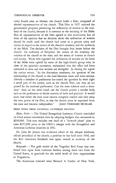every fourth year, or oftener, the church holds a Diet, composed of elected representatives of the church. This Diet in 1957 rejected the government proposal permitting the ordination of women to the ministry of the church, because it is contrary to the teaching of the Bible. Not all representatives of the Diet agreed to this motivation, but all were of the opinion that no decision about the ordination of women should be made until the church had come to a greater unity and clatity in regard to the nature of the church's ministry and the authority of the Bible. The decision of the Diet brought four issues before the church: the authority of Scripture, the nature of the ministry, the relation of the church to the state, and the status of women in church and society. Those who opposed the ordination of women on the basis of the Bible were upheld by some of the high-church group who, in view of the apostolic succession, maintained that the office had been entrusted to men and that women are ineligible. In closing the report the author writes: "As the discussion continues, the question of the relationship of the church to the state becomes more and more serious. Already a member of parliament has raised the question by what right a small part of the nation, such as the church Diet, can veto an act passed by the national parliament. Can the state tolerate such a situation? And, on the other hand, can the church permit a secular body such as the parliament to decide matters of faith and practice? It would seem that either the state must assume complete control and take away the veto power of the Diet, or else the church must be separated from the state and become independent." JOHN THEODORE MUELLER

BRIEF ITEMS FROM NATIONAL LUTHERAN COUNCIL

Blair, Nebr. - The United Evangelical Lutheran Church concluded its 62nd annual convention here by adopting budgets that amounted to \$630,000. This sum includes one third of a "forward phase" plan to raise \$257,000 prior to the UELC's merger with the Evangelical and American Lutheran churches in 1961.

Dr. John M. Jensen was re-elected editor of the *Ansgar Lutheran,*  official periodical of the church, a position he has held since 1936, and the Rev. Lawrence Siersbeck was again named as secretary of the church.

*Belgrade.* - The gold medal of the Yugoslav Red Cross was conferred here upon three Lutheran leaders, among them two from the United States, in gratitude for the relief work of their organizations in Yugoslavia.

The Americans honored were Bernard A. Confer of New York,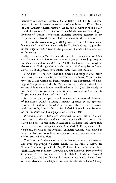executive secretary of Lutheran World Relief, and the Rev. Werner Kuntz of Detroit, executive secretary of the Board of World Relief of The Lutheran Church Missouri Synod, and a member of the LWR board of directors. A recipient of the medal also was the Rev. Mogens Zeuthen of Geneva, Switzerland, minority churches secretary in the Department of World Service of the Lutheran World Federation.

The awards, given during a 10-day visit of the relief officials to Yugoslavia in mid-June, were made by Dr. Pavle Gregoric, president of the Yugoslav Red Cross, in the presence of other officials and staff of the agency.

Also present was Mrs. Patricia Mason, field representative of LWR and Church World Service, which jointly sponsor a feeding program for some two million children in 12,000 school cafeterias throughout the country. Both agencies also ship other relief supplies to Yugoslavia. LWR shipments have totaled more than \$18 million.

*New York.* - The Rev. Charles P. Carroll has resigned after nearly five years as a staff member of the National Lutheran Council, effective July 1. Mr. Carroll has been secretary of the Department of Theological Co-operation in the NLC's Division of Lutheran World Federation Affairs since it was established early in 1956. Previously he had been for two years the administrative assistant to Dr. Paul C. Empie, executive director of the council.

Mr. Carroll has accepted a call to serve as business administrator of San Rafael (Calif.) Military Academy, operated by the Episcopal Diocese of California. In addition, he will also develop a mission parish in nearby Stinson Beach. San Rafael is located 18 miles north of San Francisco and has a population of about 20,000.

Plymouth, Mass. - Lutherans accounted for one fifth of the 200 participants in the sixth national conference on clinical pastoral education held here in mid-June. A number of Lutherans had active roles in the conference, among them the Rev. Carl R. Plack, secretary for chaplaincy services of the National Lutheran Council, who served as program chairman as well as secretary of the advisory committee on clinical pastoral education.

The following Lutherans served as leaders or recorders in discussion and workshop groups: Chaplain Henry Cassler, Medical Center for Federal Prisoners, Springfield, Mo.; Professor John Doberstein, Philadelphia Lutheran Seminary; Chaplain J. Obert Kempson, State Hospital, Columbia, S. c.; Chaplain Edward J. Mahnke, lutheran Hospital, St.louis, Mo.; the Rev. Francis A. Shearer, executive, lutheran Board of Inner Missions, Philadelphia; Professor Charles A. Sullivan, Chicago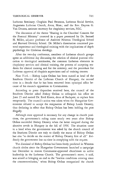Lutheran Seminary; Chaplain Paul Swanson, Lutheran Social Service, Augustana Lutheran Church, Avon, Mass.; and the Rev. Dayton G. Van Deusen, assistant secretary for chaplaincy services, NLC.

The discussion of the theme "Sharing in the Churches' Concern for the Pastoral Ministry" centered in a paper presented by Dr. Samuel H. Miller, adjunct professor of Andover Newton Theological School and Harvard Divinity School. Dr. Miller's dissertation concerned pastoral experience and theological training with the implications of depth psychology for Christian theology.

After the two-day conference, members of Lutheran church groups spent an additional day discussing the relation of clinical pastoral education to theological seminaries, the common Lutheran elements in chaplaincy services and clinical training, the process of accepting students for clinical training and for the ministry, and the procedure for Lutheran approval of chaplain supervisors and of training centers.

*New York*.-Bishop Lajos Ordass has been ousted as head of the Southern District of the Lutheran Church of Hungary, the second time in a decade that he has been removed from episcopal office because of his staunch opposition to Communism.

According to press dispatches received here, the council of the Southern District asked Bishop Ordass to relinquish his office on June 25 and named Dr. Emil Koren, dean of Budapest, to replace him temporarily. The council's action was taken when the Hungarian Government refused to accept the resignation of Bishop Laszlo Dezsery, thus declaring in effect that Bishop Ordass has been holding the post illegally.

Although state approval is necessary for any change in church positions, the government's ruling came nearly two years after Bishop Ordass succeeded Bishop Dezsery when the latter resigned during the abortive revolt in Hungary in the fall of 1956. The situation came to a head when the government was asked by the church council of the Southern District not only to clarify the status of Bishop Ordass but also "to decide on the matter of Bishop Dezsery first of all." Evidently the government lost no time in complying with the request.

The dismissal of Bishop Ordass had been freely predicted in Western church circles since the Hungarian Government launched a campaign last December to restore Communist-approved churchmen to active leadership in the Lutheran Church. The government's move, it said, was aimed at bringing an end to the "lawless conditions existing since the counterrevolution," when Bishop Ordass reorganized the church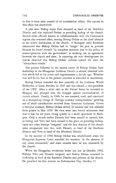to free it from state control of its ecclesiastical affairs. His success in this effort was short-lived.

A year later Bishop Lajos Veto returned as head of the Northern District and also replaced Ordass as presiding bishop of the church. Several other officials known as collaborationists with the Communist regime also resumed office, leaving Bishop Ordass as the chief obstacle to the state's domination of the church. A Budapest radio broadcast announced that Bishop Ordass had to "resign" the post as primate because he found himself "in complete isolation due to his policy of nonco-operation with the government" in working Out an agreement between the church and state. In reporting the new development the station observed that Bishop Ordass' attitude toward the state has "always been hostile."

The pattern followed in the second ouster of Bishop Ordass from leadership in the Hungarian Lutheran Church is almost identical with that which led to his arrest and imprisonment a decade ago. Whether that will be his fate in the present situation is shrouded in uncertainty.

Bishop Ordass attended the first assembly of the Lutheran World Federation at Lund, Sweden, in 1947 and was elected a vice-president of the LWF. After a short visit to the United States he returned to Hungary and plunged into the struggle against nationalization of church schools. Finally, in 1948, he was arrested, tried, and convicted on a trumped-up charge of "foreign currency manipulations," growing out of relief contributions received from American Lutherans. Given a two-year sentence, Bishop Ordass served 20 months and was released from prison in May 1950. He then went into forced retirement that was to last for six years, living quietly in a small apartment in Budapest. Only a month earlier Dezsery had been named to succeed him as bishop and Veto had been named to his place as presiding bishop. Later two other bishops "resigned," and the four districts of the church were reorganized into two, with Dezsery as head of the Southern District and Veto as head of the Northern District.

In the summer of 1956 Bishop Ordass was rehabilitated when the Hungarian Supreme Court annulled his sentence "in the absence of any crime committed," and some months later he was reinstated by the church.

When the Hungarian revolution broke out late in October 1956, Bishops Veto and Dezsery resigned, and Bishop Ordass returned to leadership as head of the Southern District and primate of the church. He preached his first sermon on Reformation Day, October 31.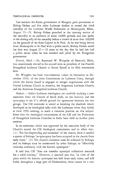Last summer the Kadar government of Hungary gave permission to Bishop Ordass and five other Lutheran leaders to attend the third assembly of the Lutheran World Federation at Minneapolis, Minn., August 15-25. Bishop Ordass preached at the opening service of the assembly to an audience of some 18,000 persons and also spoke at the closing rally of the assembly before a crowd of more than 100,000 on the grounds of the State Capitol in St. Paul. As he was being driven from Minneapolis to St. Paul with a police escort, Bishop Ordass noted the date was August  $25 - 10$  years to the day that he had last had a police escort when he was arrested and jailed by the Hungarian government.

*Detroit, Mich.-Dr.* Raymond W. Wargelin of Hancock, Mich., was unanimously elected to his second term as president of the Finnish Evangelical Lutheran Church or Suomi Synod at its 69th convention here.

Dr. Wargelin has been vice-chairman (since its formation in December 1956) of the Joint Commission on Lutheran Unity, through which the Suomi Synod is engaged in merger negotiations with the United Lutheran Church in America, the Augustana Lutheran Church, and the American Evangelical Lutheran Church.

Madras. - India's Lutheran theologians are carefully studying a new statement from the Church of South India on the ministry and the episcopacy to see if it affords ground for agreement between the two groups. The CSI statement is aimed at breaking the deadlock which developed in its theological talks with the Lutherans when they failed, at their 1956 meeting, to reach a common position on this subject. Since then the theological commissions of the CSI and the Federation of Evangelical Lutheran Churches in India have held no further joint sessions.

In its statement, which was approved by the executive body of the Church's synod, the CSI theological commission said in effect that: ( 1) "For the shepherding and extension" of the church, there is needed a system of bishops "as episcopacy has been accepted in the church from early times." (2) The church's ministers must be ordained by bishops, and its bishops must be consecrated by other bishops, to "effectively maintain continuity with the historic episcopate."

It said that CSI "does not consider episcopal ordination essential for a valid ministry." However, it asserted also that "in view of the place which the historic episcopate has held from early times, and still holds, throughout a large part of Christendom, there cannot be a uni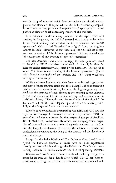versally accepted ministry which does not include the historic episcopate as one element." It explained that the CSI's "historic episcopate" is not bound to "any particular interpretation of episcopacy or to any particular view or belief concerning orders of the ministry."

In a statement on the ministry presented at the April 1956 joint meeting in Bangalore, the CSI had stressed that in any wider union it was "most unlikely that we shall be led to abandon the historic episcopate," which it had "inherited" as a "gift" from the Anglican Church in India. However, at that time also, the CSI said its acceptance and retention of "the historic episcopate" did not depend upon "the acceptance of any doctrine of apostolic succession."

The new document was drafted in reply to three questions posed to the CSI by FELC executive committee in October 1956 after the former's earlier statement was rejected by the Lutherans. The questions were: (1) What is the meaning of the historic episcopate? (2) In what does the continuity of the ministry lie? (3) What constitutes validity of the ministry?

While numerous Lutheran churches have an episcopal organization and some of these churches claim that their bishops' line of consecration can be traced to apostolic times, Lutheran theologians generally have held that the presence of such bishops is not essential to the existence of the true church of Christ and the validity and continuity of its ordained ministry. "The unity and the continuity of the church," the Lutherans had told the CSI, "depend upon the church's adhering faithfully to the Gospel of Christ and its sacraments."

Prior to 1956 commissions representing the FELC and CSI had met together for theological discussions about once a year since 1948, the year after the latter was formed by the merger of groups of Anglican, British Methodist, Presbyterian, Reformed, and Congregational origin. Out of these talks had come a series of agreed statements on the Law and the Gospel, the doctrine of election, the relation of creedal and confessional statements to the being of the church, and the doctrine of the Lord's Supper.

Except for the India Mission of The Lutheran Church-Missouri Synod, the Lutheran churches of India have not been represented directly in these talks, but through the Federation. This body's membership includes 10 Indian churches and five co-operating missions.

 $Warsaw$ . - Poland's largest Protestant church, held by the government for its own use for a decade after World War II, has been reconsecrated to religious purposes by this country's Lutheran Church.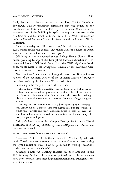Badly damaged by bombs during the war, Holy Trinity Church in downtown Warsaw underwent restoration that was begun by the Polish state in 1947 and completed by the Lutheran Church after it recovered use of the building in 1956. Among the speakers at the rededication was Dr. Franklin Clark Fry of New York, president of both the United Lutheran Church in America and the Lutheran World Federation.

"Our lives today are filled with fear," he told the gathering of 5,000 which packed the edifice. "But thank God for a house in which you can speak with Him and He with you."

Officiating at the reconsecration was Bishop Hanns Lilje of Hannover, presiding bishop of the Evangelical Lutheran churches in Germany and former LWF head. Funds from the LWF helped the Polish body, whose name is the Evangelical Church of the Augsburg Confession, to repair the structure.

*New York.* - A statement deploring the ouster of Bishop Ordass as head of the Southern District of the Lutheran Church of Hungary has been issued by the Lutheran World Federation.

Following is the complete text of the statement:

The Lutheran World Federation sees the removal of Bishop Lajos Ordass from his last official position in the church life of his country merely as the culmination of a chain of events that have been taking place over several months under pressure from the Hungarian government.

We deplore that Bishop Ordass has been deposed from ecclesiastical leadership of a diocese that was righrly his, but the esteem in which this stalwart and truly Christian figure is held all over the world is undiminished. Indeed our admiration for the constancy of his spirit grows and grows.

Bishop Ordass' status as first vice-president of the Lutheran World Federation is in no way affected by this development, of course, and remains unchanged.

BRIEF ITEMS FROM "RELIGIOUS NEWS SERVICE"

*Bronxville, N.Y.* - The Lutheran Church - Missouri Synod's Atlantic District adopted a resolution at its annual meeting here asking that synod cadets at West Point be permitted to worship "according to the practices of their church."

Although a Lutheran traveling chaplain has been available to the U. S. Military Academy, the resolution pointed out, Lutheran students have been "coerced" into attending nondenominational Protestant services at the school.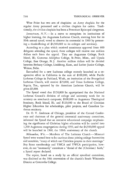West Point has two sets of chaplains: an Army chaplain for the regular Army personnel and a civilian chaplain for cadets. Traditionally, the civilian chaplain has been a Protestant Episcopal clergyman.

*Jamestown*, N.Y. - In a move to strengthen its institutions of higher learning, the Augustana Lutheran Church, meeting here for its 99th annual synod, voted to observe its centennial in 1960 by presenting a thankoffering of \$4,500,000 to its colleges and seminary.

According to a plan which received unanimous approval from 600 delegates attending the synod, three colleges will receive one million dollars each from the appeal. They are Augustana College, Rock Island, Ill.; Gustavus Adolphus College, St. Peter, Minn., and Upsala College, East Orange, N. J. Another million dollars will be divided between Bethany College, Lindsborg, Kans., and Luther Junior College, Wahoo, Nebr.

Earmarked for a new Lutheran college recently launched as a cooperative effort in California is the sum of \$100,000, while Pacific Lutheran College in Parkland, Wash., an institution of the Evangelical Lutheran Church, will receive \$25,000, and Texas Lutheran College, Seguin, Tex., operated by the American Lutheran Church, will be given \$5,000.

The Synod voted that \$150,000 be appropriated for the National Lutheran Council's division of college and university work for its ministry on nonchurch campuses; \$100,000 to Augustana Theological Seminary, Rock Island, Ill.; and \$120,000 to the Board of Christian Higher Education for scholarships, pilot projects, and Canadian Lutheran seminary.

Dr. O. V. Anderson of Chicago, president of the Central Conference and chairman of the general centennial anniversary committee, informed the Synod that an intensive educational campaign emphasizing the significance of Christian higher education will be carried into 1,200 Augustana congregations during 1959, and the \$4,500,000 appeal will be launched in 1960, the 100th anniversary of the church.

*Milwaukee, Wis.* - Members of The Lutheran Church - Missouri Synod were warned here to be cautious about joining college fraternities and sororities, "many of which use Christless prayers in their meetings." Boy Scout membership and YMCA and YWCA participation, however, do not "necessarily" constitute a "denial of the (Christian) faith," a Synod report declared.

The report, based on a study by an official synodical committee, was disclosed at the 30th convention of the church's South Wisconsin District at Concordia College.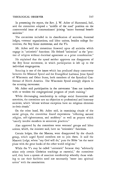In presenting the report, the Rev. J. W. Acker of Hammond, Ind., said the committee adopted a "middle of the road" position on the controversial issue of communicants' joining "secret fraternal benefit societies."

The committee included in its classification of societies, fraternal lodges, veterans' organizations, and labor unions, besides college fraternities, the Boy Scout movement, and the Y's.

Mr. Acker said the committee frowned upon all societies which engage in "unionistic" functions. He defined "unionism" as the ''practice of religion without doctrinal agreement as a prior consideration."

He explained that the synod neither approves nor disapproves of the Boy Scout movement, in which. participation is left up to the individual congregation.

Scouting is one of the issues which has produced sharp controversy between the Missouri Synod and the Evangelical Lutheran Joint Synod of Wisconsin and Other States, both members of the Synodical Conference of North America. The Wisconsin Synod strongly objects to the scouting movement.

Mr. Acker said participation in the movement "does not interfere with or weaken the congregational program of youth training."

While discouraging membership in college social fraternities and sororities, the committee saw no objection to professional and honorary societies, which "almost without exception have no religious elements in their rituals."

On the other hand, Mr. Acker said, in examining rituals of the social groups, the committee found expressions "reflecting natural religion, self-righteousness, and snobbery" as well as prayers which "usually involve members in unionistic practices."

Also approved by the committee were veterans' groups and labor unions, which, the minister said, have no "unionistic" functions.

Certain lodges, like the Masons, were disapproved by the church group, which urged Synod members not to join them. It said the Masonic Lodge, where "any God will do," puts the Bible "on the same plane with the great books of the other world religions."

While the Y's may be called "unionistic" because they "arbitrarily select only certain Christian teachings as essential," the committee said, they have a system of associate membership whereby those wishing to use their facilities need not necessarily "enter into spiritual union" with the associations.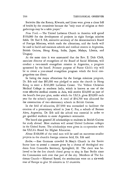Societies like the Rotary, Kiwanis, and Lions were given a clean bill of health by the committee because the "only trace of religion at their gatherings may be a table prayer."

*New York.* - The United Lutheran Church in America will spend \$350,000 for the development of projects in eight foreign mission fields. Dr. Earl S. Erb, executive secretary of the denomination's Board of Foreign Missions, which made the allocations, said the funds will be used to build and maintain schools and medical centers in Argentina, British Guiana, Hong Kong, India, Japan, Malaya, Liberia, and Uruguay.

At the same time it was announced that the Rev. E. Dale Click, associate director of evangelism of the Board of Social Missions, will conduct a two-month evangelism mission in Argentina, a program sponsored by the board. Primary purpose of Pastor Click's trip will be to create a year-round evangelism program which the local congregations can direct.

In listing the major allocations for the foreign missions program, Dr. Erb said that \$85,000 was pledged to assist the church in Hong Kong to erect a \$241,000 Lutheran Center. The Vellore Christian Medical College in southern India, which is known as one of the most effective medical centers in Asia, will receive \$24,000 as part of the board's five-year plan, under which the ULCA gives \$20,000 each year for the school's operation. A total of \$34,700 was allocated for the construction of two elementary schools in British Guiana.

In the field of education, \$37,000 was earmarked to facilitate the creation of a preseminary school in Jose C. Paz, a suburb of Buenos Aires, Argentina. Dr. Erb said the school was essential in order to get qualified students to enter Argentina's seminaries.

The board also granted 26 scholarships to students in British Guiana for study abroad. Most students will attend United Lutheran colleges in the United States. The scholarships were given in co-operation with the ULCA's Board for Higher Education.

About \$168,000 of the total sum will be used on numerous smaller projects in the church's foreign mission field, Dr. Erb said.

Berlin. - East Germans crowded St. Mary's Church in the Soviet Sector here to attend a concert given by a chorus of theological students from Concordia Seminary, Springfield, Ill. The choir was believed to be the first church choral group to sing in East Berlin since the Communists took over that part of the city. Members of The Lutheran Church - Missouri Synod, the seminarians were on a six-week tour of Europe to give 30 concerts in 12 countries.